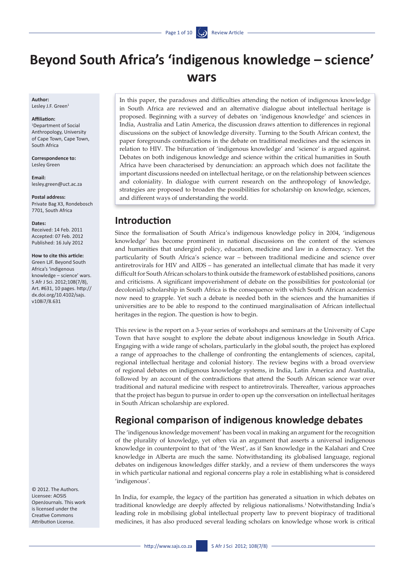# **Beyond South Africa's 'indigenous knowledge – science' wars**

**Author:** Lesley J.F. Green<sup>1</sup>

#### **Affiliation:**

1 Department of Social Anthropology, University of Cape Town, Cape Town, South Africa

**Correspondence to:**  Lesley Green

**Email:**  <lesley.green@uct.ac.za>

**Postal address:**  Private Bag X3, Rondebosch 7701, South Africa

**Dates:**

Received: 14 Feb. 2011 Accepted: 07 Feb. 2012 Published: 16 July 2012

#### **How to cite this article:**

Green LJF. Beyond South Africa's 'indigenous knowledge – science' wars. S Afr J Sci. 2012;108(7/8), Art. #631, 10 pages. [http://](http://dx.doi.org/10.4102/sajs.v108i7/8.631) [dx.doi.org/10.4102/sajs.](http://dx.doi.org/10.4102/sajs.v108i7/8.631) [v108i7/8.631](http://dx.doi.org/10.4102/sajs.v108i7/8.631)

© 2012. The Authors. Licensee: AOSIS OpenJournals. This work is licensed under the Creative Commons Attribution License.

In this paper, the paradoxes and difficulties attending the notion of indigenous knowledge in South Africa are reviewed and an alternative dialogue about intellectual heritage is proposed. Beginning with a survey of debates on 'indigenous knowledge' and sciences in India, Australia and Latin America, the discussion draws attention to differences in regional discussions on the subject of knowledge diversity. Turning to the South African context, the paper foregrounds contradictions in the debate on traditional medicines and the sciences in relation to HIV. The bifurcation of 'indigenous knowledge' and 'science' is argued against. Debates on both indigenous knowledge and science within the critical humanities in South Africa have been characterised by denunciation: an approach which does not facilitate the important discussions needed on intellectual heritage, or on the relationship between sciences and coloniality. In dialogue with current research on the anthropology of knowledge, strategies are proposed to broaden the possibilities for scholarship on knowledge, sciences, and different ways of understanding the world.

#### **Introduction**

Since the formalisation of South Africa's indigenous knowledge policy in 2004, 'indigenous knowledge' has become prominent in national discussions on the content of the sciences and humanities that undergird policy, education, medicine and law in a democracy. Yet the particularity of South Africa's science war – between traditional medicine and science over antiretrovirals for HIV and AIDS – has generated an intellectual climate that has made it very difficult for South African scholars to think outside the framework of established positions, canons and criticisms. A significant impoverishment of debate on the possibilities for postcolonial (or decolonial) scholarship in South Africa is the consequence with which South African academics now need to grapple. Yet such a debate is needed both in the sciences and the humanities if universities are to be able to respond to the continued marginalisation of African intellectual heritages in the region. The question is how to begin.

This review is the report on a 3-year series of workshops and seminars at the University of Cape Town that have sought to explore the debate about indigenous knowledge in South Africa. Engaging with a wide range of scholars, particularly in the global south, the project has explored a range of approaches to the challenge of confronting the entanglements of sciences, capital, regional intellectual heritage and colonial history. The review begins with a broad overview of regional debates on indigenous knowledge systems, in India, Latin America and Australia, followed by an account of the contradictions that attend the South African science war over traditional and natural medicine with respect to antiretrovirals. Thereafter, various approaches that the project has begun to pursue in order to open up the conversation on intellectual heritages in South African scholarship are explored.

### **Regional comparison of indigenous knowledge debates**

The 'indigenous knowledge movement' has been vocal in making an argument for the recognition of the plurality of knowledge, yet often via an argument that asserts a universal indigenous knowledge in counterpoint to that of 'the West', as if San knowledge in the Kalahari and Cree knowledge in Alberta are much the same. Notwithstanding its globalised language, regional debates on indigenous knowledges differ starkly, and a review of them underscores the ways in which particular national and regional concerns play a role in establishing what is considered 'indigenous'.

In India, for example, the legacy of the partition has generated a situation in which debates on traditional knowledge are deeply affected by religious nationalisms.1 Notwithstanding India's leading role in mobilising global intellectual property law to prevent biopiracy of traditional medicines, it has also produced several leading scholars on knowledge whose work is critical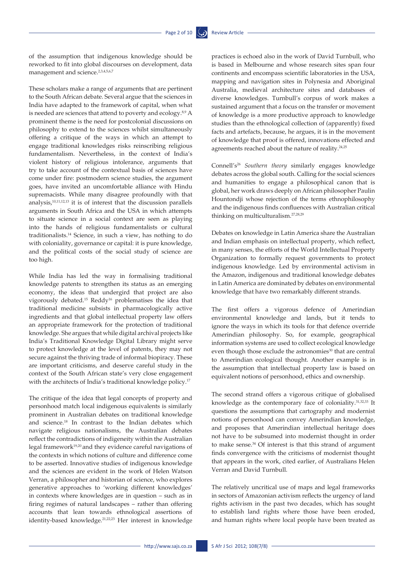of the assumption that indigenous knowledge should be reworked to fit into global discourses on development, data management and science.<sup>2,3,4,5,6,7</sup>

These scholars make a range of arguments that are pertinent to the South African debate. Several argue that the sciences in India have adapted to the framework of capital, when what is needed are sciences that attend to poverty and ecology.<sup>8,9</sup> A prominent theme is the need for postcolonial discussions on philosophy to extend to the sciences whilst simultaneously offering a critique of the ways in which an attempt to engage traditional knowledges risks reinscribing religious fundamentalism. Nevertheless, in the context of India's violent history of religious intolerance, arguments that try to take account of the contextual basis of sciences have come under fire: postmodern science studies, the argument goes, have invited an uncomfortable alliance with Hindu supremacists. While many disagree profoundly with that analysis, $10,11,12,13$  it is of interest that the discussion parallels arguments in South Africa and the USA in which attempts to situate science in a social context are seen as playing into the hands of religious fundamentalists or cultural traditionalists.14 Science, in such a view, has nothing to do with coloniality, governance or capital: it is pure knowledge, and the political costs of the social study of science are too high.

While India has led the way in formalising traditional knowledge patents to strengthen its status as an emerging economy, the ideas that undergird that project are also vigorously debated.15 Reddy16 problematises the idea that traditional medicine subsists in pharmacologically active ingredients and that global intellectual property law offers an appropriate framework for the protection of traditional knowledge. She argues that while digital archival projects like India's Traditional Knowledge Digital Library might serve to protect knowledge at the level of patents, they may not secure against the thriving trade of informal biopiracy. These are important criticisms, and deserve careful study in the context of the South African state's very close engagement with the architects of India's traditional knowledge policy.<sup>17</sup>

The critique of the idea that legal concepts of property and personhood match local indigenous equivalents is similarly prominent in Australian debates on traditional knowledge and science.18 In contrast to the Indian debates which navigate religious nationalisms, the Australian debates reflect the contradictions of indigeneity within the Australian legal framework<sup>19,20</sup> and they evidence careful navigations of the contexts in which notions of culture and difference come to be asserted. Innovative studies of indigenous knowledge and the sciences are evident in the work of Helen Watson Verran, a philosopher and historian of science, who explores generative approaches to 'working different knowledges' in contexts where knowledges are in question – such as in firing regimes of natural landscapes – rather than offering accounts that lean towards ethnological assertions of identity-based knowledge.21,22,23 Her interest in knowledge practices is echoed also in the work of David Turnbull, who is based in Melbourne and whose research sites span four continents and encompass scientific laboratories in the USA, mapping and navigation sites in Polynesia and Aboriginal Australia, medieval architecture sites and databases of diverse knowledges. Turnbull's corpus of work makes a sustained argument that a focus on the transfer or movement of knowledge is a more productive approach to knowledge studies than the ethnological collection of (apparently) fixed facts and artefacts, because, he argues, it is in the movement of knowledge that proof is offered, innovations effected and agreements reached about the nature of reality.<sup>24,25</sup>

Connell's26 *Southern theory* similarly engages knowledge debates across the global south. Calling for the social sciences and humanities to engage a philosophical canon that is global, her work draws deeply on African philosopher Paulin Hountondji whose rejection of the terms ethnophilosophy and the indigenous finds confluences with Australian critical thinking on multiculturalism.27,28,29

Debates on knowledge in Latin America share the Australian and Indian emphasis on intellectual property, which reflect, in many senses, the efforts of the World Intellectual Property Organization to formally request governments to protect indigenous knowledge. Led by environmental activism in the Amazon, indigenous and traditional knowledge debates in Latin America are dominated by debates on environmental knowledge that have two remarkably different strands.

The first offers a vigorous defence of Amerindian environmental knowledge and lands, but it tends to ignore the ways in which its tools for that defence override Amerindian philosophy. So, for example, geographical information systems are used to collect ecological knowledge even though those exclude the astronomies<sup>30</sup> that are central to Amerindian ecological thought. Another example is in the assumption that intellectual property law is based on equivalent notions of personhood, ethics and ownership.

The second strand offers a vigorous critique of globalised knowledge as the contemporary face of coloniality.31,32,33 It questions the assumptions that cartography and modernist notions of personhood can convey Amerindian knowledge, and proposes that Amerindian intellectual heritage does not have to be subsumed into modernist thought in order to make sense.<sup>34</sup> Of interest is that this strand of argument finds convergence with the criticisms of modernist thought that appears in the work, cited earlier, of Australians Helen Verran and David Turnbull.

The relatively uncritical use of maps and legal frameworks in sectors of Amazonian activism reflects the urgency of land rights activism in the past two decades, which has sought to establish land rights where those have been eroded, and human rights where local people have been treated as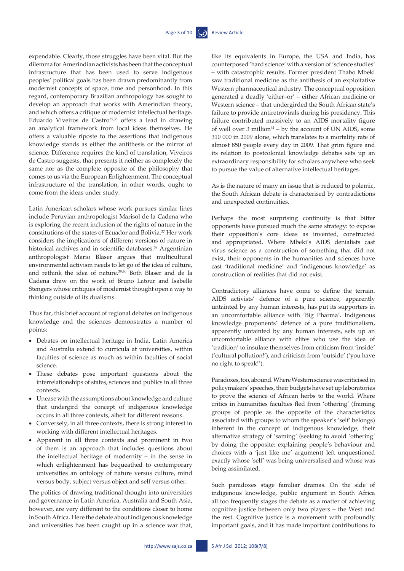expendable. Clearly, those struggles have been vital. But the dilemma for Amerindian activists has been that the conceptual infrastructure that has been used to serve indigenous peoples' political goals has been drawn predominantly from modernist concepts of space, time and personhood. In this regard, contemporary Brazilian anthropology has sought to develop an approach that works with Amerindian theory, and which offers a critique of modernist intellectual heritage. Eduardo Viveiros de Castro<sup>35,36</sup> offers a lead in drawing an analytical framework from local ideas themselves. He offers a valuable riposte to the assertions that indigenous knowledge stands as either the antithesis or the mirror of science. Difference requires the kind of translation, Viveiros de Castro suggests, that presents it neither as completely the same nor as the complete opposite of the philosophy that comes to us via the European Enlightenment. The conceptual infrastructure of the translation, in other words, ought to come from the ideas under study.

Latin American scholars whose work pursues similar lines include Peruvian anthropologist Marisol de la Cadena who is exploring the recent inclusion of the rights of nature in the constitutions of the states of Ecuador and Bolivia.37 Her work considers the implications of different versions of nature in historical archives and in scientific databases.<sup>38</sup> Argentinian anthropologist Mario Blaser argues that multicultural environmental activism needs to let go of the idea of culture, and rethink the idea of nature.39,40 Both Blaser and de la Cadena draw on the work of Bruno Latour and Isabelle Stengers whose critiques of modernist thought open a way to thinking outside of its dualisms.

Thus far, this brief account of regional debates on indigenous knowledge and the sciences demonstrates a number of points:

- • Debates on intellectual heritage in India, Latin America and Australia extend to curricula at universities, within faculties of science as much as within faculties of social science.
- • These debates pose important questions about the interrelationships of states, sciences and publics in all three contexts.
- • Unease with the assumptions about knowledge and culture that undergird the concept of indigenous knowledge occurs in all three contexts, albeit for different reasons.
- • Conversely, in all three contexts, there is strong interest in working with different intellectual heritages.
- • Apparent in all three contexts and prominent in two of them is an approach that includes questions about the intellectual heritage of modernity – in the sense in which enlightenment has bequeathed to contemporary universities an ontology of nature versus culture, mind versus body, subject versus object and self versus other.

The politics of drawing traditional thought into universities and governance in Latin America, Australia and South Asia, however, are very different to the conditions closer to home in South Africa. Here the debate about indigenous knowledge and universities has been caught up in a science war that,

like its equivalents in Europe, the USA and India, has counterposed 'hard science' with a version of 'science studies' – with catastrophic results. Former president Thabo Mbeki saw traditional medicine as the antithesis of an exploitative Western pharmaceutical industry. The conceptual opposition generated a deadly 'either–or' – either African medicine or Western science – that undergirded the South African state's failure to provide antiretrovirals during his presidency. This failure contributed massively to an AIDS mortality figure of well over  $3$  million<sup>41</sup> – by the account of UN AIDS, some 310 000 in 2009 alone, which translates to a mortality rate of almost 850 people every day in 2009. That grim figure and its relation to postcolonial knowledge debates sets up an extraordinary responsibility for scholars anywhere who seek to pursue the value of alternative intellectual heritages.

As is the nature of many an issue that is reduced to polemic, the South African debate is characterised by contradictions and unexpected continuities.

Perhaps the most surprising continuity is that bitter opponents have pursued much the same strategy: to expose their opposition's core ideas as invented, constructed and appropriated. Where Mbeki's AIDS denialists cast virus science as a construction of something that did not exist, their opponents in the humanities and sciences have cast 'traditional medicine' and 'indigenous knowledge' as construction of realities that did not exist.

Contradictory alliances have come to define the terrain. AIDS activists' defence of a pure science, apparently untainted by any human interests, has put its supporters in an uncomfortable alliance with 'Big Pharma'. Indigenous knowledge proponents' defence of a pure traditionalism, apparently untainted by any human interests, sets up an uncomfortable alliance with elites who use the idea of 'tradition' to insulate themselves from criticism from 'inside' ('cultural pollution!'), and criticism from 'outside' ('you have no right to speak!').

Paradoxes, too, abound. Where Western science was criticised in policymakers' speeches, their budgets have set up laboratories to prove the science of African herbs to the world. Where critics in humanities faculties fled from 'othering' (framing groups of people as the opposite of the characteristics associated with groups to whom the speaker's 'self' belongs) inherent in the concept of indigenous knowledge, their alternative strategy of 'saming' (seeking to avoid 'othering' by doing the opposite: explaining people's behaviour and choices with a 'just like me' argument) left unquestioned exactly whose 'self' was being universalised and whose was being assimilated.

Such paradoxes stage familiar dramas. On the side of indigenous knowledge, public argument in South Africa all too frequently stages the debate as a matter of achieving cognitive justice between only two players – the West and the rest. Cognitive justice is a movement with profoundly important goals, and it has made important contributions to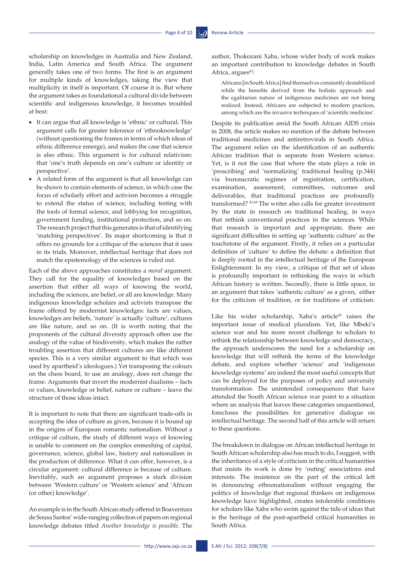scholarship on knowledges in Australia and New Zealand, India, Latin America and South Africa. The argument generally takes one of two forms. The first is an argument for multiple kinds of knowledges, taking the view that multiplicity in itself is important. Of course it is. But where the argument takes as foundational a cultural divide between scientific and indigenous knowledge, it becomes troubled at best:

- • It can argue that all knowledge is 'ethnic' or cultural. This argument calls for greater tolerance of 'ethnoknowledge' (without questioning the frames in terms of which ideas of ethnic difference emerge), and makes the case that science is also ethnic. This argument is for cultural relativism: that 'one's truth depends on one's culture or identity or perspective'.
- A related form of the argument is that all knowledge can be shown to contain elements of science, in which case the focus of scholarly effort and activism becomes a struggle to extend the status of science, including testing with the tools of formal science, and lobbying for recognition, government funding, institutional protection, and so on. The research project that this generates is that of identifying 'matching perspectives'. Its major shortcoming is that it offers no grounds for a critique of the sciences that it uses in its trials. Moreover, intellectual heritage that does not match the epistemology of the sciences is ruled out.

Each of the above approaches constitutes a *moral* argument. They call for the equality of knowledges based on the assertion that either all ways of knowing the world, including the sciences, are belief, or all are knowledge. Many indigenous knowledge scholars and activists transpose the frame offered by modernist knowledges: facts are values, knowledges are beliefs, 'nature' is actually 'culture', cultures are like nature, and so on. (It is worth noting that the proponents of the cultural diversity approach often use the analogy of the value of biodiversity, which makes the rather troubling assertion that different cultures are like different species. This is a very similar argument to that which was used by apartheid's ideologues.) Yet transposing the colours on the chess board, to use an analogy, does not change the frame. Arguments that invert the modernist dualisms – facts or values, knowledge or belief, nature or culture – leave the structure of those ideas intact.

It is important to note that there are significant trade-offs in accepting the idea of culture as given, because it is bound up in the origins of European romantic nationalism. Without a critique of culture, the study of different ways of knowing is unable to comment on the complex enmeshing of capital, governance, science, global law, history and nationalism in the production of difference. What it can offer, however, is a circular argument: cultural difference is because of culture. Inevitably, such an argument proposes a stark division between 'Western culture' or 'Western science' and 'African (or other) knowledge'.

An example is in the South African study offered in Boaventura de Sousa Santos' wide-ranging collection of papers on regional knowledge debates titled *Another knowledge is possible*. The

author, Thokozani Xaba, whose wider body of work makes an important contribution to knowledge debates in South Africa, argues<sup>42</sup>:

Africans [in South Africa] find themselves constantly destabilized while the benefits derived from the holistic approach and the egalitarian nature of indigenous medicines are not being realized. Instead, Africans are subjected to modern practices, among which are the invasive techniques of 'scientific medicine'.

Despite its publication amid the South African AIDS crisis in 2008, the article makes no mention of the debate between traditional medicines and antiretrovirals in South Africa. The argument relies on the identification of an authentic African tradition that is separate from Western science. Yet, is it not the case that where the state plays a role in 'proscribing' and 'normalizing' traditional healing (p.344) via bureaucratic regimes of registration, certification, examination, assessment, committees, outcomes and deliverables, that traditional practices are profoundly transformed? 43,44 The writer also calls for greater investment by the state in research on traditional healing, in ways that rethink conventional practices in the sciences. While that research is important and appropriate, there are significant difficulties in setting up 'authentic culture' as the touchstone of the argument. Firstly, it relies on a particular definition of 'culture' to define the debate: a definition that is deeply rooted in the intellectual heritage of the European Enlightenment. In my view, a critique of that set of ideas is profoundly important in rethinking the ways in which African history is written. Secondly, there is little space, in an argument that takes 'authentic culture' as a given, either for the criticism of tradition, or for traditions of criticism.

Like his wider scholarship, Xaba's article<sup>45</sup> raises the important issue of medical pluralism. Yet, like Mbeki's science war and his more recent challenge to scholars to rethink the relationship between knowledge and democracy, the approach underscores the need for a scholarship on knowledge that will rethink the terms of the knowledge debate, and explore whether 'science' and 'indigenous knowledge systems' are indeed the most useful concepts that can be deployed for the purposes of policy and university transformation. The unintended consequences that have attended the South African science war point to a situation where an analysis that leaves these categories unquestioned, forecloses the possibilities for generative dialogue on intellectual heritage. The second half of this article will return to these questions.

The breakdown in dialogue on African intellectual heritage in South African scholarship also has much to do, I suggest, with the inheritance of a style of criticism in the critical humanities that insists its work is done by 'outing' associations and interests. The insistence on the part of the critical left in denouncing ethnonationalism without engaging the politics of knowledge that regional thinkers on indigenous knowledge have highlighted, creates intolerable conditions for scholars like Xaba who swim against the tide of ideas that is the heritage of the post-apartheid critical humanities in South Africa.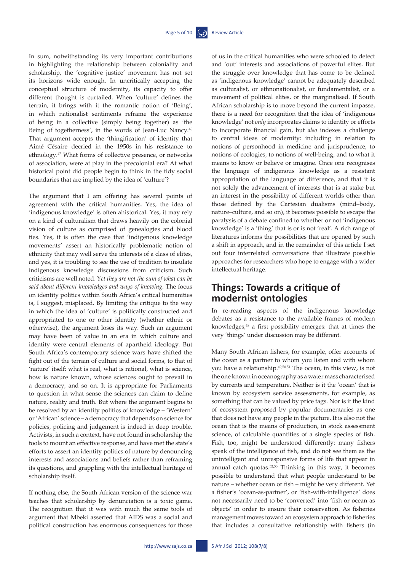In sum, notwithstanding its very important contributions in highlighting the relationship between coloniality and scholarship, the 'cognitive justice' movement has not set its horizons wide enough. In uncritically accepting the conceptual structure of modernity, its capacity to offer different thought is curtailed. When 'culture' defines the terrain, it brings with it the romantic notion of 'Being', in which nationalist sentiments reframe the experience of being in a collective (simply being together) as 'the Being of togetherness', in the words of Jean-Luc Nancy.46 That argument accepts the 'thingification' of identity that Aimé Césaire decried in the 1950s in his resistance to ethnology.47 What forms of collective presence, or networks of association, were at play in the precolonial era? At what historical point did people begin to think in the tidy social boundaries that are implied by the idea of 'culture'?

The argument that I am offering has several points of agreement with the critical humanities. Yes, the idea of 'indigenous knowledge' is often ahistorical. Yes, it may rely on a kind of culturalism that draws heavily on the colonial vision of culture as comprised of genealogies and blood ties. Yes, it is often the case that 'indigenous knowledge movements' assert an historically problematic notion of ethnicity that may well serve the interests of a class of elites, and yes, it is troubling to see the use of tradition to insulate indigenous knowledge discussions from criticism. Such criticisms are well noted. *Yet they are not the sum of what can be said about different knowledges and ways of knowing.* The focus on identity politics within South Africa's critical humanities is, I suggest, misplaced*.* By limiting the critique to the way in which the idea of 'culture' is politically constructed and appropriated to one or other identity (whether ethnic or otherwise), the argument loses its way. Such an argument may have been of value in an era in which culture and identity were central elements of apartheid ideology. But South Africa's contemporary science wars have shifted the fight out of the terrain of culture and social forms, to that of 'nature' itself: what is real, what is rational, what is science, how is nature known, whose sciences ought to prevail in a democracy, and so on. It is appropriate for Parliaments to question in what sense the sciences can claim to define nature, reality and truth. But where the argument begins to be resolved by an identity politics of knowledge – 'Western' or 'African' science – a democracy that depends on science for policies, policing and judgement is indeed in deep trouble. Activists, in such a context, have not found in scholarship the tools to mount an effective response, and have met the state's efforts to assert an identity politics of nature by denouncing interests and associations and beliefs rather than reframing its questions, and grappling with the intellectual heritage of scholarship itself.

If nothing else, the South African version of the science war teaches that scholarship by denunciation is a toxic game. The recognition that it was with much the same tools of argument that Mbeki asserted that AIDS was a social and political construction has enormous consequences for those of us in the critical humanities who were schooled to detect and 'out' interests and associations of powerful elites. But the struggle over knowledge that has come to be defined as 'indigenous knowledge' cannot be adequately described as culturalist, or ethnonationalist, or fundamentalist, or a movement of political elites, or the marginalised. If South African scholarship is to move beyond the current impasse, there is a need for recognition that the idea of 'indigenous knowledge' not *only* incorporates claims to identity or efforts to incorporate financial gain, but *also* indexes a challenge to central ideas of modernity: including in relation to notions of personhood in medicine and jurisprudence, to notions of ecologies, to notions of well-being, and to what it means to know or believe or imagine. Once one recognises the language of indigenous knowledge as a resistant appropriation of the language of difference, and that it is not solely the advancement of interests that is at stake but an interest in the possibility of different worlds other than those defined by the Cartesian dualisms (mind–body, nature–culture, and so on), it becomes possible to escape the paralysis of a debate confined to whether or not 'indigenous knowledge' is a 'thing' that is or is not 'real'. A rich range of literatures informs the possibilities that are opened by such a shift in approach, and in the remainder of this article I set out four interrelated conversations that illustrate possible approaches for researchers who hope to engage with a wider intellectual heritage.

### **Things: Towards a critique of modernist ontologies**

In re-reading aspects of the indigenous knowledge debates as a resistance to the available frames of modern knowledges,48 a first possibility emerges: that at times the very 'things' under discussion may be different.

Many South African fishers, for example, offer accounts of the ocean as a partner to whom you listen and with whom you have a relationship.<sup>49,50,51</sup> The ocean, in this view, is not the one known in oceanography as a water mass characterised by currents and temperature. Neither is it the 'ocean' that is known by ecosystem service assessments, for example, as something that can be valued by price tags. Nor is it the kind of ecosystem proposed by popular documentaries as one that does not have any people in the picture. It is also not the ocean that is the means of production, in stock assessment science, of calculable quantities of a single species of fish. Fish, too, might be understood differently: many fishers speak of the intelligence of fish, and do not see them as the unintelligent and unresponsive forms of life that appear in annual catch quotas.<sup>52,53</sup> Thinking in this way, it becomes possible to understand that what people understand to be nature – whether ocean or fish – might be very different. Yet a fisher's 'ocean-as-partner', or 'fish-with-intelligence' does not necessarily need to be 'converted' into 'fish or ocean as objects' in order to ensure their conservation. As fisheries management moves toward an ecosystem approach to fisheries that includes a consultative relationship with fishers (in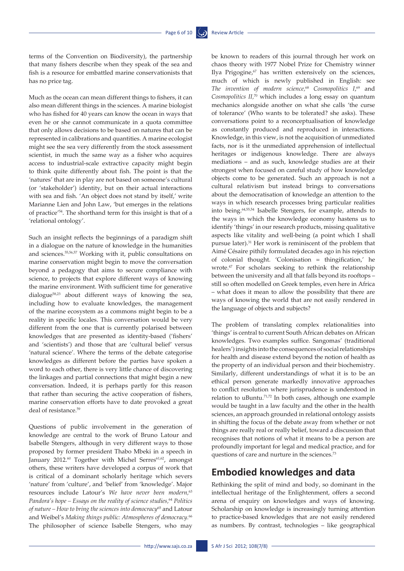terms of the Convention on Biodiversity), the partnership that many fishers describe when they speak of the sea and fish is a resource for embattled marine conservationists that has no price tag.

Much as the ocean can mean different things to fishers, it can also mean different things in the sciences. A marine biologist who has fished for 40 years can know the ocean in ways that even he or she cannot communicate in a quota committee that only allows decisions to be based on natures that can be represented in calibrations and quantities. A marine ecologist might see the sea very differently from the stock assessment scientist, in much the same way as a fisher who acquires access to industrial-scale extractive capacity might begin to think quite differently about fish. The point is that the 'natures' that are in play are not based on someone's cultural (or 'stakeholder') identity, but on their actual interactions with sea and fish. 'An object does not stand by itself,' write Marianne Lien and John Law, 'but emerges in the relations of practice'54. The shorthand term for this insight is that of a 'relational ontology'.

Such an insight reflects the beginnings of a paradigm shift in a dialogue on the nature of knowledge in the humanities and sciences.55,56,57 Working with it, public consultations on marine conservation might begin to move the conversation beyond a pedagogy that aims to secure compliance with science, to projects that explore different ways of knowing the marine environment. With sufficient time for generative dialogue58,23 about different ways of knowing the sea, including how to evaluate knowledges, the management of the marine ecosystem as a commons might begin to be a reality in specific locales. This conversation would be very different from the one that is currently polarised between knowledges that are presented as identity-based ('fishers' and 'scientists') and those that are 'cultural belief' versus 'natural science'. Where the terms of the debate categorise knowledges as different before the parties have spoken a word to each other, there is very little chance of discovering the linkages and partial connections that might begin a new conversation. Indeed, it is perhaps partly for this reason that rather than securing the active cooperation of fishers, marine conservation efforts have to date provoked a great deal of resistance.<sup>59</sup>

Questions of public involvement in the generation of knowledge are central to the work of Bruno Latour and Isabelle Stengers, although in very different ways to those proposed by former president Thabo Mbeki in a speech in January 2012.<sup>60</sup> Together with Michel Serres<sup>61,62</sup>, amongst others, these writers have developed a corpus of work that is critical of a dominant scholarly heritage which severs 'nature' from 'culture', and 'belief' from 'knowledge'. Major resources include Latour's *We have never been modern,*<sup>63</sup> *Pandora's hope – Essays on the reality of science studies,*<sup>64</sup> *Politics of nature – How to bring the sciences into democracy*<sup>65</sup> and Latour and Weibel's *Making things public: Atmospheres of democracy.*<sup>66</sup> The philosopher of science Isabelle Stengers, who may

be known to readers of this journal through her work on chaos theory with 1977 Nobel Prize for Chemistry winner Ilya Prigogine,<sup>67</sup> has written extensively on the sciences, much of which is newly published in English: see *The invention of modern science,*<sup>68</sup> *Cosmopolitics I*, 69 and *Cosmopolitics II,*70 which includes a long essay on quantum mechanics alongside another on what she calls 'the curse of tolerance' (Who wants to be tolerated? she asks). These conversations point to a reconceptualisation of knowledge as constantly produced and reproduced in interactions. Knowledge, in this view, is not the acquisition of unmediated facts, nor is it the unmediated apprehension of intellectual heritages or indigenous knowledge. There are always mediations – and as such, knowledge studies are at their strongest when focused on careful study of how knowledge objects come to be generated. Such an approach is not a cultural relativism but instead brings to conversations about the democratisation of knowledge an attention to the ways in which research processes bring particular realities into being.64,55,54 Isabelle Stengers, for example, attends to the ways in which the knowledge economy hastens us to identify 'things' in our research products, missing qualitative aspects like vitality and well-being (a point which I shall pursue later).31 Her work is reminiscent of the problem that Aimé Césaire pithily formulated decades ago in his rejection of colonial thought. 'Colonisation = thingification,' he wrote.47 For scholars seeking to rethink the relationship between the university and all that falls beyond its rooftops – still so often modelled on Greek temples, even here in Africa – what does it mean to allow the possibility that there are ways of knowing the world that are not easily rendered in the language of objects and subjects?

The problem of translating complex relationalities into 'things' is central to current South African debates on African knowledges. Two examples suffice. Sangomas' (traditional healers') insights into the consequences of social relationships for health and disease extend beyond the notion of health as the property of an individual person and their biochemistry. Similarly, different understandings of what it is to be an ethical person generate markedly innovative approaches to conflict resolution where jurisprudence is understood in relation to uBuntu.71,72 In both cases, although one example would be taught in a law faculty and the other in the health sciences, an approach grounded in relational ontology assists in shifting the focus of the debate away from whether or not things are really real or really belief, toward a discussion that recognises that notions of what it means to be a person are profoundly important for legal and medical practice, and for questions of care and nurture in the sciences.73

### **Embodied knowledges and data**

Rethinking the split of mind and body, so dominant in the intellectual heritage of the Enlightenment, offers a second arena of enquiry on knowledges and ways of knowing. Scholarship on knowledge is increasingly turning attention to practice-based knowledges that are not easily rendered as numbers. By contrast, technologies – like geographical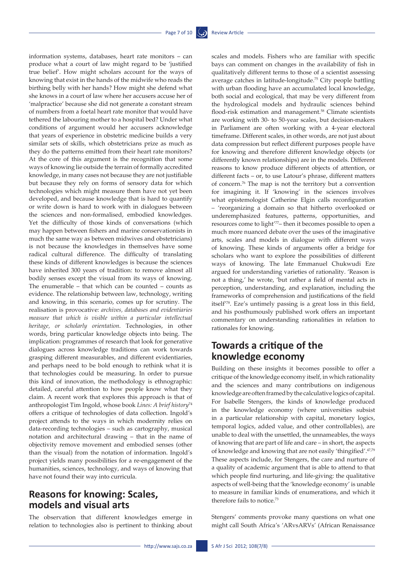information systems, databases, heart rate monitors – can produce what a court of law might regard to be 'justified true belief'. How might scholars account for the ways of knowing that exist in the hands of the midwife who reads the birthing belly with her hands? How might she defend what she knows in a court of law where her accusers accuse her of 'malpractice' because she did not generate a constant stream of numbers from a foetal heart rate monitor that would have tethered the labouring mother to a hospital bed? Under what conditions of argument would her accusers acknowledge that years of experience in obstetric medicine builds a very similar sets of skills, which obstetricians prize as much as they do the patterns emitted from their heart rate monitors? At the core of this argument is the recognition that some ways of knowing lie outside the terrain of formally accredited knowledge, in many cases not because they are not justifiable but because they rely on forms of sensory data for which technologies which might measure them have not yet been developed, and because knowledge that is hard to quantify or write down is hard to work with in dialogues between the sciences and non-formalised, embodied knowledges. Yet the difficulty of those kinds of conversations (which may happen between fishers and marine conservationists in much the same way as between midwives and obstetricians) is not because the knowledges in themselves have some radical cultural difference. The difficulty of translating these kinds of different knowledges is because the sciences have inherited 300 years of tradition: to remove almost all bodily senses except the visual from its ways of knowing. The enumerable – that which can be counted – counts as evidence. The relationship between law, technology, writing and knowing, in this scenario, comes up for scrutiny. The realisation is provocative: *archives, databases and evidentiaries measure that which is visible within a particular intellectual heritage, or scholarly orientation*. Technologies, in other words, bring particular knowledge objects into being. The implication: programmes of research that look for generative dialogues across knowledge traditions can work towards grasping different measurables, and different evidentiaries, and perhaps need to be bold enough to rethink what it is that technologies could be measuring. In order to pursue this kind of innovation, the methodology is ethnographic: detailed, careful attention to how people know what they claim. A recent work that explores this approach is that of anthropologist Tim Ingold, whose book *Lines: A brief history*<sup>74</sup> offers a critique of technologies of data collection. Ingold's project attends to the ways in which modernity relies on data-recording technologies – such as cartography, musical notation and architectural drawing – that in the name of objectivity remove movement and embodied senses (other than the visual) from the notation of information. Ingold's project yields many possibilities for a re-engagement of the humanities, sciences, technology, and ways of knowing that have not found their way into curricula.

## **Reasons for knowing: Scales, models and visual arts**

The observation that different knowledges emerge in relation to technologies also is pertinent to thinking about scales and models. Fishers who are familiar with specific bays can comment on changes in the availability of fish in qualitatively different terms to those of a scientist assessing average catches in latitude-longitude.75 City people battling with urban flooding have an accumulated local knowledge, both social and ecological, that may be very different from the hydrological models and hydraulic sciences behind flood-risk estimation and management.<sup>58</sup> Climate scientists are working with 30- to 50-year scales, but decision-makers in Parliament are often working with a 4-year electoral timeframe. Different scales, in other words, are not just about data compression but reflect different purposes people have for knowing and therefore different knowledge objects (or differently known relationships) are in the models. Different reasons to know produce different objects of attention, or different facts – or, to use Latour's phrase, different matters of concern.76 The map is not the territory but a convention for imagining it. If 'knowing' in the sciences involves what epistemologist Catherine Elgin calls reconfiguration – 'reorganizing a domain so that hitherto overlooked or underemphasized features, patterns, opportunities, and resources come to light'77– then it becomes possible to open a much more nuanced debate over the uses of the imaginative arts, scales and models in dialogue with different ways of knowing. These kinds of arguments offer a bridge for scholars who want to explore the possibilities of different ways of knowing. The late Emmanuel Chukwudi Eze argued for understanding varieties of rationality. 'Reason is not a thing,' he wrote, 'but rather a field of mental acts in perception, understanding, and explanation, including the frameworks of comprehension and justifications of the field itself'78. Eze's untimely passing is a great loss in this field, and his posthumously published work offers an important commentary on understanding rationalities in relation to rationales for knowing.

## **Towards a critique of the knowledge economy**

Building on these insights it becomes possible to offer a critique of the knowledge economy itself, in which rationality and the sciences and many contributions on indigenous knowledge are often framed by the calculative logics of capital. For Isabelle Stengers, the kinds of knowledge produced in the knowledge economy (where universities subsist in a particular relationship with capital, monetary logics, temporal logics, added value, and other controllables), are unable to deal with the unsettled, the unnameables, the ways of knowing that are part of life and care – in short, the aspects of knowledge and knowing that are not easily 'thingified'.47,79 These aspects include, for Stengers, the care and nurture of a quality of academic argument that is able to attend to that which people find nurturing, and life-giving: the qualitative aspects of well-being that the 'knowledge economy' is unable to measure in familiar kinds of enumerations, and which it therefore fails to notice.<sup>73</sup>

Stengers' comments provoke many questions on what one might call South Africa's 'ARvsARVs' (African Renaissance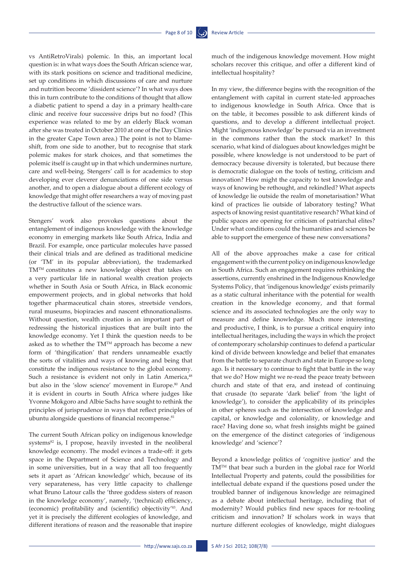vs AntiRetroVirals) polemic. In this, an important local question is: in what ways does the South African science war, with its stark positions on science and traditional medicine, set up conditions in which discussions of care and nurture and nutrition become 'dissident science'? In what ways does this in turn contribute to the conditions of thought that allow a diabetic patient to spend a day in a primary health-care clinic and receive four successive drips but no food? (This experience was related to me by an elderly Black woman after she was treated in October 2010 at one of the Day Clinics in the greater Cape Town area.) The point is not to blameshift, from one side to another, but to recognise that stark polemic makes for stark choices, and that sometimes the polemic itself is caught up in that which undermines nurture, care and well-being. Stengers' call is for academics to stop developing ever cleverer denunciations of one side versus another, and to open a dialogue about a different ecology of knowledge that might offer researchers a way of moving past the destructive fallout of the science wars.

Stengers' work also provokes questions about the entanglement of indigenous knowledge with the knowledge economy in emerging markets like South Africa, India and Brazil. For example, once particular molecules have passed their clinical trials and are defined as traditional medicine (or 'TM' in its popular abbreviation), the trademarked TMTM constitutes a new knowledge object that takes on a very particular life in national wealth creation projects whether in South Asia or South Africa, in Black economic empowerment projects, and in global networks that hold together pharmaceutical chain stores, streetside vendors, rural museums, biopiracies and nascent ethnonationalisms. Without question, wealth creation is an important part of redressing the historical injustices that are built into the knowledge economy. Yet I think the question needs to be asked as to whether the TM™ approach has become a new form of 'thingification' that renders unnameable exactly the sorts of vitalities and ways of knowing and being that constitute the indigenous resistance to the global economy. Such a resistance is evident not only in Latin America,<sup>48</sup> but also in the 'slow science' movement in Europe.<sup>80</sup> And it is evident in courts in South Africa where judges like Yvonne Mokgoro and Albie Sachs have sought to rethink the principles of jurisprudence in ways that reflect principles of ubuntu alongside questions of financial recompense.<sup>81</sup>

The current South African policy on indigenous knowledge systems<sup>82</sup> is, I propose, heavily invested in the neoliberal knowledge economy. The model evinces a trade-off: it gets space in the Department of Science and Technology and in some universities, but in a way that all too frequently sets it apart as 'African knowledge' which, because of its very separateness, has very little capacity to challenge what Bruno Latour calls the 'three goddess sisters of reason in the knowledge economy', namely, '(technical) efficiency, (economic) profitability and (scientific) objectivity'83. And yet it is precisely the different ecologies of knowledge, and different iterations of reason and the reasonable that inspire much of the indigenous knowledge movement. How might scholars recover this critique, and offer a different kind of intellectual hospitality?

In my view, the difference begins with the recognition of the entanglement with capital in current state-led approaches to indigenous knowledge in South Africa. Once that is on the table, it becomes possible to ask different kinds of questions, and to develop a different intellectual project. Might 'indigenous knowledge' be pursued via an investment in the commons rather than the stock market? In this scenario, what kind of dialogues about knowledges might be possible, where knowledge is not understood to be part of democracy because diversity is tolerated, but because there is democratic dialogue on the tools of testing, criticism and innovation? How might the capacity to test knowledge and ways of knowing be rethought, and rekindled? What aspects of knowledge lie outside the realm of monetarisation? What kind of practices lie outside of laboratory testing? What aspects of knowing resist quantitative research? What kind of public spaces are opening for criticism of patriarchal elites? Under what conditions could the humanities and sciences be able to support the emergence of these new conversations?

All of the above approaches make a case for critical engagement with the current policy on indigenous knowledge in South Africa. Such an engagement requires rethinking the assertions, currently enshrined in the Indigenous Knowledge Systems Policy, that 'indigenous knowledge' exists primarily as a static cultural inheritance with the potential for wealth creation in the knowledge economy, and that formal science and its associated technologies are the only way to measure and define knowledge. Much more interesting and productive, I think, is to pursue a critical enquiry into intellectual heritages, including the ways in which the project of contemporary scholarship continues to defend a particular kind of divide between knowledge and belief that emanates from the battle to separate church and state in Europe so long ago. Is it necessary to continue to fight that battle in the way that we do? How might we re-read the peace treaty between church and state of that era, and instead of continuing that crusade (to separate 'dark belief' from 'the light of knowledge'), to consider the applicability of its principles in other spheres such as the intersection of knowledge and capital, or knowledge and coloniality, or knowledge and race? Having done so, what fresh insights might be gained on the emergence of the distinct categories of 'indigenous knowledge' and 'science'?

Beyond a knowledge politics of 'cognitive justice' and the TMTM that bear such a burden in the global race for World Intellectual Property and patents, could the possibilities for intellectual debate expand if the questions posed under the troubled banner of indigenous knowledge are reimagined as a debate about intellectual heritage, including that of modernity? Would publics find new spaces for re-tooling criticism and innovation? If scholars work in ways that nurture different ecologies of knowledge, might dialogues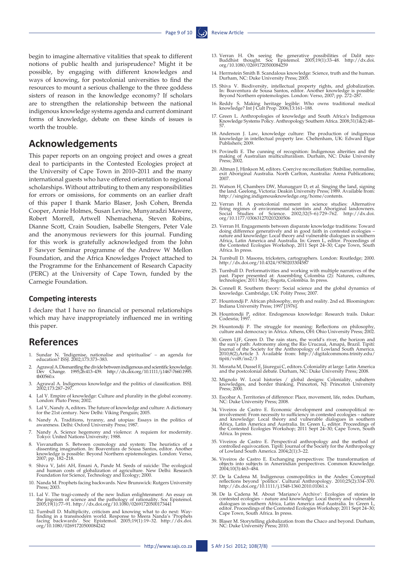begin to imagine alternative vitalities that speak to different notions of public health and jurisprudence? Might it be possible, by engaging with different knowledges and ways of knowing, for postcolonial universities to find the resources to mount a serious challenge to the three goddess sisters of reason in the knowledge economy? If scholars are to strengthen the relationship between the national indigenous knowledge systems agenda and current dominant forms of knowledge, debate on these kinds of issues is worth the trouble.

#### **Acknowledgements**

This paper reports on an ongoing project and owes a great deal to participants in the Contested Ecologies project at the University of Cape Town in 2010–2011 and the many international guests who have offered orientation to regional scholarships. Without attributing to them any responsibilities for errors or omissions, for comments on an earlier draft of this paper I thank Mario Blaser, Josh Cohen, Brenda Cooper, Annie Holmes, Susan Levine, Munyaradzi Mawere, Robert Morrell, Artwell Nhemachena, Steven Robins, Dianne Scott, Crain Soudien, Isabelle Stengers, Peter Vale and the anonymous reviewers for this journal. Funding for this work is gratefully acknowledged from the John F Sawyer Seminar programme of the Andrew W Mellon Foundation, and the Africa Knowledges Project attached to the Programme for the Enhancement of Research Capacity (PERC) at the University of Cape Town, funded by the Carnegie Foundation.

#### **Competing interests**

I declare that I have no financial or personal relationships which may have inappropriately influenced me in writing this paper.

#### **References**

- 1. Sundar N. 'Indigenise, nationalise and spiritualise' an agenda for education? ISSJ. 2002;173:373–383.
- 2. Agrawal A. Dismantling the divide between indigenous and scientific knowledge.<br>Dev Change. 1995;26:413–439. [http://dx.doi.org/10.1111/j.1467-7660.1995.](http://dx.doi.org/10.1111/j.1467-7660.1995.tb00560.x)<br>[tb00560.x](http://dx.doi.org/10.1111/j.1467-7660.1995.tb00560.x)
- 3. Agrawal A. Indigenous knowledge and the politics of classification. ISSJ. 2002;173:287–297.
- 4. Lal V. Empire of knowledge: Culture and plurality in the global economy. London: Pluto Press; 2002.
- 5. Lal V, Nandy A, editors. The future of knowledge and culture: A dictionary for the 21st century. New Delhi: Viking Penguin; 2005.
- 6. Nandy A. Traditions, tyranny, and utopias: Essays in the politics of awareness. Delhi: Oxford University Press; 1987.
- 7. Nandy A. Science hegemony and violence: A requiem for modernity. Tokyo: United Nations University; 1988.
- 8. Visvanathan S. Between cosmology and system: The heuristics of a dissenting imagination. In: Boaventura de Sousa Santos, editor. Another knowledge is possible: Beyond Northern epistemologies. London: Verso, 2007; pp. 18
- 9. Shiva V, Jafri AH, Emani A, Pande M. Seeds of suicide: The ecological and human costs of globalization of agriculture. New Delhi: Research Foundation for Science, Technology and Ecology; 2000.
- 10. Nanda M. Prophets facing backwards. New Brunswick: Rutgers University Press; 2003.
- 11. Lal V. The tragi-comedy of the new Indian enlightenment: An essay on the jingoism of science and the pathology of rationality. Soc Epistemol. 2005;19(1):77–91. <http://dx.doi.org/10.1080/02691720500173441>
- 12. Turnbull D. Multiplicity, criticism and knowing what to do next: Way-<br>finding in a transmodern world. Response to Meera Nanda's 'Prophets<br>facing backwards'. Soc Epistemol. 2005;19(1):19–32. [http://dx.doi.](http://dx.doi.org/10.1080/02691720500084242)<br>org/10.1080/0
- 13. Verran H. On seeing the generative possibilities of Dalit neo-Buddhist thought. Soc Epistemol. 2005;19(1):33–48. [http://dx.doi.](http://dx.doi.org/10.1080/02691720500084259) [org/10.1080/02691720500084259](http://dx.doi.org/10.1080/02691720500084259)
- 14. Herrnstein Smith B. Scandalous knowledge: Science, truth and the human. Durham, NC: Duke University Press; 2005.
- 15. Shiva V. Biodiversity, intellectual property rights, and globalization.<br>
In: Boaventura de Sousa Santos, editor. Another Rnowledge is possible:<br>
Beyond Northern epistemologies. London: Verso, 2007; pp. 272–287.
- 16. Reddy S. Making heritage legible: Who owns traditional medical knowledge? Int J Cult Prop. 2006;13:161–188.
- 17. Green L. Anthropologies of knowledge and South Africa's Indigenous Knowledge Systems Policy. Anthropology Southern Africa. 2008;31(1&2):48– 57.
- 18. Anderson J. Law, knowledge culture: The production of indigenous knowledge in intellectual property law. Cheltenham, UK: Edward Elgar Publishers; 2009.
- 19. Povinelli E. The cunning of recognition: Indigenous alterities and the making of Australian multiculturalism. Durham, NC: Duke University Press; 2002.
- 20. Altman J, Hinkson M, editors. Coercive reconciliation: Stabilise, normalise, exit Aboriginal Australia. North Carlton, Australia: Arena Publications; 2007.
- 21. Watson H, Chambers DW, Munuŋgurr D, et al. Singing the land, signing the land. Geelong, Victoria: Deakin University Press; 1989. Available from: http://singing.indigenousknowledge.org/home/contents.
- 22. Verran H. A postcolonial moment in science studies: Alternative firing regimes of environmental scientists and Aboriginal landowners.<br>Social Studies of Science. 2002;32(5–6):729–762. [http://dx.doi.](http://dx.doi.org/10.1177/030631270203200506)<br>[org/10.1177/030631270203200506](http://dx.doi.org/10.1177/030631270203200506)
- 23. Verran H. Engagements between disparate knowledge traditions: Toward doing difference generatively and in good faith in contested ecologies –<br>nature and knowledge: Local theory and vulnerable dialogues in southern<br>Africa, Latin America and Australia. In: Green L, editor. Proceedings of<br>the Africa. In press.
- 24. Turnbull D. Masons, tricksters, cartographers. London: Routledge; 2000. <http://dx.doi.org/10.4324/9780203304587>
- 25. Turnbull D. Performativities and working with multiple narratives of the past. Paper presented at: Assembling Colombia (2): Natures, cultures, technologies; 2011 May; Bogota, Colombia. In press.
- 26. Connell R. Southern theory: Social science and the global dynamics of knowledge. Cambridge, UK: Polity Press; 2007.
- 27. Hountondji P. African philosophy, myth and reality. 2nd ed. Bloomington: Indiana University Press; 1997 [1976].
- 28. Hountondji P, editor. Endogenous knowledge: Research trails. Dakar: Codesria; 1997.
- 29. Hountondji P. The struggle for meaning: Reflections on philosophy, culture and democracy in Africa. Athens, OH: Ohio University Press; 2002.
- 30. Green LJF, Green D. The rain stars, the world's river, the horizon and the sun's path: Astronomy along the Rio Urucauá, Amapá, Brazil. Tipití: Journal of the Society for the Anthropology of Lowland South America. 2010;
- 31. Moraña M, Dussel E, Jáuregui C, editors. Coloniality at large: Latin America and the postcolonial debate. Durham, NC: Duke University Press; 2008.
- 32. Mignolo W. Local histories / global designs: Coloniality, subaltern knowledges, and border thinking. Princeton, NJ: Princeton University Press; 2000.
- 33. Escobar A. Territories of difference: Place, movement, life, redes. Durham, NC: Duke University Press; 2008.
- 34. Viveiros de Castro E. Economic development and cosmopolitical re-<br>involvement: From necessity to sufficiency in contested ecologies nature<br>and knowledge: Local theory and vulnerable dialogues in southern<br>Africa, Lati Africa. In press.
- 35. Viveiros de Castro E. Perspectival anthropology and the method of controlled equivocation. Tipití: Journal of the Society for the Anthropology of Lowland South America. 2004;2(1):3–22.
- 36. Viveiros de Castro E. Exchanging perspectives: The transformation of objects in our beindian perspectives. Common Knowledge.<br>2004;10(3):463–484.
- 37. De la Cadena M. Indigenous cosmopolitics in the Andes: Conceptual reflections beyond 'politics'. Cultural Anthropology. 2010;25(2):334–370. <http://dx.doi.org/10.1111/j.1548-1360.2010.01061.x>
- 38. De la Cadena M. About 'Mariano's Archive': Ecologies of stories in contested ecologies nature and knowledge: Local theory and vulnerable dialogues in southern Africa, Latin America and Australia. In: Green L,<br>editor. Proceedings of the Contested Ecologies Workshop; 2011 Sept 24–30;<br>Cape Town, South Africa. In press.
- 39. Blaser M. Storytelling globalization from the Chaco and beyond. Durham, NC: Duke University Press; 2010.